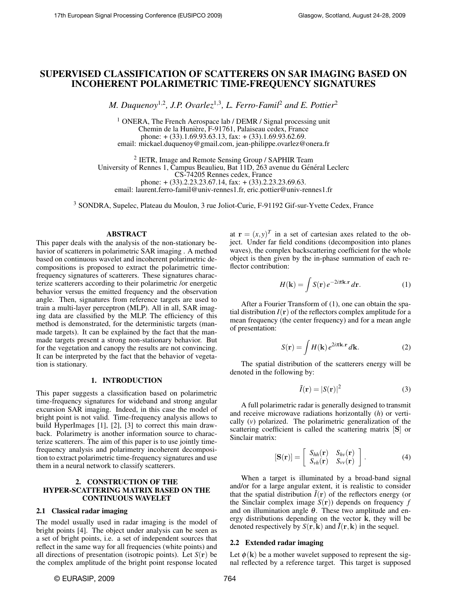# SUPERVISED CLASSIFICATION OF SCATTERERS ON SAR IMAGING BASED ON INCOHERENT POLARIMETRIC TIME-FREQUENCY SIGNATURES

*M. Duquenoy*<sup>1,2</sup>, J.P. Ovarlez<sup>1,3</sup>, L. Ferro-Famil<sup>2</sup> and E. Pottier<sup>2</sup>

<sup>1</sup> ONERA, The French Aerospace lab / DEMR / Signal processing unit Chemin de la Huniere, F-91761, Palaiseau cedex, France ` phone: + (33).1.69.93.63.13, fax: + (33).1.69.93.62.69. email: mickael.duquenoy@gmail.com, jean-philippe.ovarlez@onera.fr

<sup>2</sup> IETR, Image and Remote Sensing Group / SAPHIR Team University of Rennes 1, Campus Beaulieu, Bat 11D, 263 avenue du Général Leclerc CS-74205 Rennes cedex, France phone: + (33).2.23.23.67.14, fax: + (33).2.23.23.69.63. email: laurent.ferro-famil@univ-rennes1.fr, eric.pottier@univ-rennes1.fr

<sup>3</sup> SONDRA, Supelec, Plateau du Moulon, 3 rue Joliot-Curie, F-91192 Gif-sur-Yvette Cedex, France

# ABSTRACT

This paper deals with the analysis of the non-stationary behavior of scatterers in polarimetric SAR imaging . A method based on continuous wavelet and incoherent polarimetric decompositions is proposed to extract the polarimetric timefrequency signatures of scatterers. These signatures characterize scatterers according to their polarimetric /or energetic behavior versus the emitted frequency and the observation angle. Then, signatures from reference targets are used to train a multi-layer perceptron (MLP). All in all, SAR imaging data are classified by the MLP. The efficiency of this method is demonstrated, for the deterministic targets (manmade targets). It can be explained by the fact that the manmade targets present a strong non-stationary behavior. But for the vegetation and canopy the results are not convincing. It can be interpreted by the fact that the behavior of vegetation is stationary.

#### 1. INTRODUCTION

This paper suggests a classification based on polarimetric time-frequency signatures for wideband and strong angular excursion SAR imaging. Indeed, in this case the model of bright point is not valid. Time-frequency analysis allows to build HyperImages [1], [2], [3] to correct this main drawback. Polarimetry is another information source to characterize scatterers. The aim of this paper is to use jointly timefrequency analysis and polarimetry incoherent decomposition to extract polarimetric time-frequency signatures and use them in a neural network to classify scatterers.

# 2. CONSTRUCTION OF THE HYPER-SCATTERING MATRIX BASED ON THE CONTINUOUS WAVELET

# 2.1 Classical radar imaging

The model usually used in radar imaging is the model of bright points [4]. The object under analysis can be seen as a set of bright points, i.e. a set of independent sources that reflect in the same way for all frequencies (white points) and all directions of presentation (isotropic points). Let  $S(\mathbf{r})$  be the complex amplitude of the bright point response located

at  $\mathbf{r} = (x, y)^T$  in a set of cartesian axes related to the object. Under far field conditions (decomposition into planes waves), the complex backscattering coefficient for the whole object is then given by the in-phase summation of each reflector contribution:

$$
H(\mathbf{k}) = \int S(\mathbf{r}) e^{-2i\pi \mathbf{k} \cdot \mathbf{r}} d\mathbf{r}.
$$
 (1)

After a Fourier Transform of (1), one can obtain the spatial distribution  $I(r)$  of the reflectors complex amplitude for a mean frequency (the center frequency) and for a mean angle of presentation:

$$
S(\mathbf{r}) = \int H(\mathbf{k}) e^{2i\pi \mathbf{k} \cdot \mathbf{r}} d\mathbf{k}.
$$
 (2)

The spatial distribution of the scatterers energy will be denoted in the following by:

$$
\tilde{I}(\mathbf{r}) = |S(\mathbf{r})|^2 \tag{3}
$$

A full polarimetric radar is generally designed to transmit and receive microwave radiations horizontally (*h*) or vertically (*v*) polarized. The polarimetric generalization of the scattering coefficient is called the scattering matrix [S] or Sinclair matrix:

$$
[\mathbf{S}(\mathbf{r})] = \left[ \begin{array}{cc} S_{hh}(\mathbf{r}) & S_{hv}(\mathbf{r}) \\ S_{vh}(\mathbf{r}) & S_{vv}(\mathbf{r}) \end{array} \right]. \tag{4}
$$

When a target is illuminated by a broad-band signal and/or for a large angular extent, it is realistic to consider that the spatial distribution  $\tilde{I}(\mathbf{r})$  of the reflectors energy (or the Sinclair complex image  $S(r)$ ) depends on frequency  $f$ and on illumination angle  $\theta$ . These two amplitude and energy distributions depending on the vector k, they will be denoted respectively by  $S(\mathbf{r}, \mathbf{k})$  and  $\tilde{I}(\mathbf{r}, \mathbf{k})$  in the sequel.

#### 2.2 Extended radar imaging

Let  $\phi(\mathbf{k})$  be a mother wavelet supposed to represent the signal reflected by a reference target. This target is supposed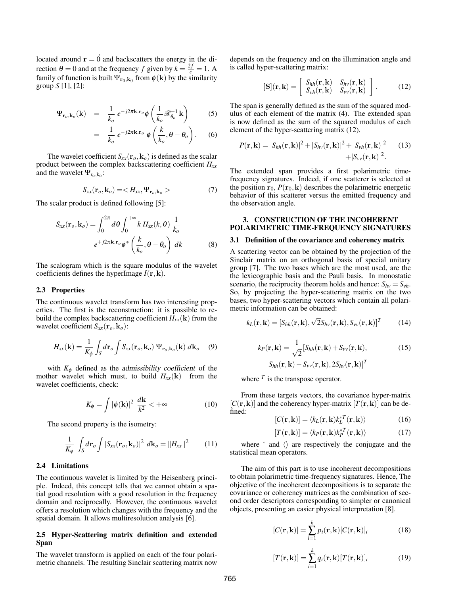located around  $\mathbf{r} = \vec{0}$  and backscatters the energy in the direction  $\theta = 0$  and at the frequency *f* given by  $k = \frac{2f}{c} = 1$ . A family of function is built  $\Psi_{\mathbf{r}_0,\mathbf{k}_0}$  from  $\phi(\mathbf{k})$  by the similarity group *S* [1], [2]:

$$
\Psi_{\mathbf{r}_o,\mathbf{k}_o}(\mathbf{k}) = \frac{1}{k_o} e^{-j2\pi \mathbf{k}.\mathbf{r}_o} \phi \left( \frac{1}{k_o} \mathcal{R}_{\theta_o}^{-1} \mathbf{k} \right)
$$
 (5)

$$
= \frac{1}{k_o} e^{-j2\pi \mathbf{k}.\mathbf{r}_o} \phi\left(\frac{k}{k_o}, \theta - \theta_o\right). \tag{6}
$$

The wavelet coefficient  $S_{xx}(\mathbf{r}_o, \mathbf{k}_o)$  is defined as the scalar product between the complex backscattering coefficient *Hxx* and the wavelet  $\Psi_{r_0,k_0}$ :

$$
S_{xx}(\mathbf{r}_o, \mathbf{k}_o) = \langle H_{xx}, \Psi_{\mathbf{r}_o, \mathbf{k}_o} \rangle \tag{7}
$$

The scalar product is defined following [5]:

$$
S_{xx}(\mathbf{r}_o, \mathbf{k}_o) = \int_0^{2\pi} d\theta \int_0^{+\infty} k H_{xx}(k, \theta) \frac{1}{k_o}
$$
  

$$
e^{+j2\pi \mathbf{k} \cdot \mathbf{r}_o} \phi^* \left(\frac{k}{k_o}, \theta - \theta_o\right) dk
$$
 (8)

The scalogram which is the square modulus of the wavelet coefficients defines the hyperImage  $\tilde{I}(\mathbf{r},\mathbf{k})$ .

#### 2.3 Properties

The continuous wavelet transform has two interesting properties. The first is the reconstruction: it is possible to rebuild the complex backscattering coefficient  $H_{xx}(\mathbf{k})$  from the wavelet coefficient  $S_{xx}(\mathbf{r}_o, \mathbf{k}_o)$ :

$$
H_{xx}(\mathbf{k}) = \frac{1}{K_{\phi}} \int_{S} d\mathbf{r}_{o} \int S_{xx}(\mathbf{r}_{o}, \mathbf{k}_{o}) \, \Psi_{\mathbf{r}_{o}, \mathbf{k}_{o}}(\mathbf{k}) \, d\mathbf{k}_{o} \quad (9)
$$

with  $K_{\phi}$  defined as the *admissibility coefficient* of the mother wavelet which must, to build  $H_{xx}(\mathbf{k})$  from the wavelet coefficients, check:

$$
K_{\phi} = \int |\phi(\mathbf{k})|^2 \frac{d\mathbf{k}}{k^2} < +\infty \tag{10}
$$

The second property is the isometry:

$$
\frac{1}{K_{\phi}} \int_{S} d\mathbf{r}_o \int |S_{xx}(\mathbf{r}_o, \mathbf{k}_o)|^2 \ d\mathbf{k}_o = ||H_{xx}||^2 \qquad (11)
$$

# 2.4 Limitations

The continuous wavelet is limited by the Heisenberg principle. Indeed, this concept tells that we cannot obtain a spatial good resolution with a good resolution in the frequency domain and reciprocally. However, the continuous wavelet offers a resolution which changes with the frequency and the spatial domain. It allows multiresolution analysis [6].

## 2.5 Hyper-Scattering matrix definition and extended Span

The wavelet transform is applied on each of the four polarimetric channels. The resulting Sinclair scattering matrix now depends on the frequency and on the illumination angle and is called hyper-scattering matrix:

$$
[\mathbf{S}](\mathbf{r}, \mathbf{k}) = \left[ \begin{array}{cc} S_{hh}(\mathbf{r}, \mathbf{k}) & S_{hv}(\mathbf{r}, \mathbf{k}) \\ S_{vh}(\mathbf{r}, \mathbf{k}) & S_{vv}(\mathbf{r}, \mathbf{k}) \end{array} \right].
$$
 (12)

The span is generally defined as the sum of the squared modulus of each element of the matrix (4). The extended span is now defined as the sum of the squared modulus of each element of the hyper-scattering matrix (12).

$$
P(\mathbf{r}, \mathbf{k}) = |S_{hh}(\mathbf{r}, \mathbf{k})|^2 + |S_{hv}(\mathbf{r}, \mathbf{k})|^2 + |S_{vh}(\mathbf{r}, \mathbf{k})|^2
$$
 (13)  
+|S\_{vv}(\mathbf{r}, \mathbf{k})|^2.

The extended span provides a first polarimetric timefrequency signatures. Indeed, if one scatterer is selected at the position  $r_0$ ,  $P(r_0, k)$  describes the polarimetric energetic behavior of this scatterer versus the emitted frequency and the observation angle.

# 3. CONSTRUCTION OF THE INCOHERENT POLARIMETRIC TIME-FREQUENCY SIGNATURES

#### 3.1 Definition of the covariance and coherency matrix

A scattering vector can be obtained by the projection of the Sinclair matrix on an orthogonal basis of special unitary group [7]. The two bases which are the most used, are the the lexicographic basis and the Pauli basis. In monostatic scenario, the reciprocity theorem holds and hence:  $S_{hv} = S_{vh}$ . So, by projecting the hyper-scattering matrix on the two bases, two hyper-scattering vectors which contain all polarimetric information can be obtained:

$$
k_L(\mathbf{r}, \mathbf{k}) = [S_{hh}(\mathbf{r}, \mathbf{k}), \sqrt{2}S_{hv}(\mathbf{r}, \mathbf{k}), S_{vv}(\mathbf{r}, \mathbf{k})]^T
$$
 (14)

$$
k_P(\mathbf{r}, \mathbf{k}) = \frac{1}{\sqrt{2}} [S_{hh}(\mathbf{r}, \mathbf{k}) + S_{vv}(\mathbf{r}, \mathbf{k}),
$$
  
\n
$$
S_{hh}(\mathbf{r}, \mathbf{k}) - S_{vv}(\mathbf{r}, \mathbf{k}), 2S_{hv}(\mathbf{r}, \mathbf{k})]^T
$$
\n(15)

where  $<sup>T</sup>$  is the transpose operator.</sup>

From these targets vectors, the covariance hyper-matrix  $[C(\mathbf{r},\mathbf{k})]$  and the coherency hyper-matrix  $[T(\mathbf{r},\mathbf{k})]$  can be defined:

$$
[C(\mathbf{r}, \mathbf{k})] = \langle k_L(\mathbf{r}, \mathbf{k}) k_L^{*T}(\mathbf{r}, \mathbf{k}) \rangle
$$
 (16)

$$
[T(\mathbf{r}, \mathbf{k})] = \langle k_P(\mathbf{r}, \mathbf{k})k_P^{*T}(\mathbf{r}, \mathbf{k}) \rangle \tag{17}
$$

where  $*$  and  $\langle \rangle$  are respectively the conjugate and the statistical mean operators.

The aim of this part is to use incoherent decompositions to obtain polarimetric time-frequency signatures. Hence, The objective of the incoherent decompositions is to separate the covariance or coherency matrices as the combination of second order descriptors corresponding to simpler or canonical objects, presenting an easier physical interpretation [8].

$$
[C(\mathbf{r}, \mathbf{k})] = \sum_{i=1}^{k} p_i(\mathbf{r}, \mathbf{k}) [C(\mathbf{r}, \mathbf{k})]_i
$$
 (18)

$$
[T(\mathbf{r}, \mathbf{k})] = \sum_{i=1}^{k} q_i(\mathbf{r}, \mathbf{k}) [T(\mathbf{r}, \mathbf{k})]_i
$$
 (19)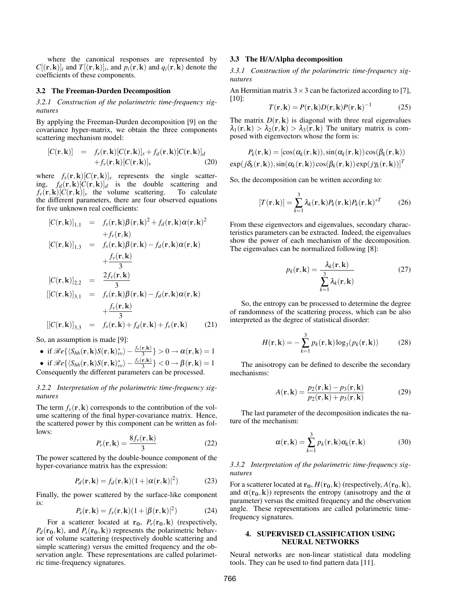where the canonical responses are represented by  $C[(\mathbf{r}, \mathbf{k})]_i$  and  $T[(\mathbf{r}, \mathbf{k})]_i$ , and  $p_i(\mathbf{r}, \mathbf{k})$  and  $q_i(\mathbf{r}, \mathbf{k})$  denote the coefficients of these components.

#### 3.2 The Freeman-Durden Decomposition

*3.2.1 Construction of the polarimetric time-frequency signatures*

By applying the Freeman-Durden decomposition [9] on the covariance hyper-matrix, we obtain the three components scattering mechanism model:

$$
[C(\mathbf{r}, \mathbf{k})] = f_s(\mathbf{r}, \mathbf{k}) [C(\mathbf{r}, \mathbf{k})]_s + f_d(\mathbf{r}, \mathbf{k}) [C(\mathbf{r}, \mathbf{k})]_d
$$
  
+ $f_v(\mathbf{r}, \mathbf{k}) [C(\mathbf{r}, \mathbf{k})]_v$  (20)

where  $f_s(\mathbf{r}, \mathbf{k})[C(\mathbf{r}, \mathbf{k})]_s$  represents the single scattering,  $f_d(\mathbf{r}, \mathbf{k})[C(\mathbf{r}, \mathbf{k})]_d$  is the double scattering and  $f_v(\mathbf{r}, \mathbf{k})[C(\mathbf{r}, \mathbf{k})]_v$  the volume scattering. To calculate  $f_v(\mathbf{r}, \mathbf{k})[C(\mathbf{r}, \mathbf{k})]_v$  the volume scattering. the different parameters, there are four observed equations for five unknown real coefficients:

$$
[C(\mathbf{r}, \mathbf{k})]_{1,1} = f_s(\mathbf{r}, \mathbf{k}) \beta(\mathbf{r}, \mathbf{k})^2 + f_d(\mathbf{r}, \mathbf{k}) \alpha(\mathbf{r}, \mathbf{k})^2
$$
  
+  $f_v(\mathbf{r}, \mathbf{k})$   

$$
[C(\mathbf{r}, \mathbf{k})]_{1,3} = f_s(\mathbf{r}, \mathbf{k}) \beta(\mathbf{r}, \mathbf{k}) - f_d(\mathbf{r}, \mathbf{k}) \alpha(\mathbf{r}, \mathbf{k})
$$
  
+  $\frac{f_v(\mathbf{r}, \mathbf{k})}{3}$   

$$
[C(\mathbf{r}, \mathbf{k})]_{2,2} = \frac{2f_v(\mathbf{r}, \mathbf{k})}{3}
$$
  

$$
[[C(\mathbf{r}, \mathbf{k})]_{3,1} = f_s(\mathbf{r}, \mathbf{k}) \beta(\mathbf{r}, \mathbf{k}) - f_d(\mathbf{r}, \mathbf{k}) \alpha(\mathbf{r}, \mathbf{k})
$$
  
+  $\frac{f_v(\mathbf{r}, \mathbf{k})}{3}$   

$$
[[C(\mathbf{r}, \mathbf{k})]_{3,3} = f_s(\mathbf{r}, \mathbf{k}) + f_d(\mathbf{r}, \mathbf{k}) + f_v(\mathbf{r}, \mathbf{k})
$$
(21)

So, an assumption is made [9]:

\n- if 
$$
\Re e \{ \langle S_{hh}(\mathbf{r}, \mathbf{k}) S(\mathbf{r}, \mathbf{k})^*_{\text{vv}} \rangle - \frac{f_{\text{v}}(\mathbf{r}, \mathbf{k})}{3} \} > 0 \rightarrow \alpha(\mathbf{r}, \mathbf{k}) = 1
$$
\n- if  $\Re e \{ \langle S_{hh}(\mathbf{r}, \mathbf{k}) S(\mathbf{r}, \mathbf{k})^*_{\text{vv}} \rangle - \frac{f_{\text{v}}(\mathbf{r}, \mathbf{k})}{3} \} < 0 \rightarrow \beta(\mathbf{r}, \mathbf{k}) = 1$
\n

Consequently the different parameters can be processed.

# *3.2.2 Interpretation of the polarimetric time-frequency signatures*

The term  $f_v(\mathbf{r}, \mathbf{k})$  corresponds to the contribution of the volume scattering of the final hyper-covariance matrix. Hence, the scattered power by this component can be written as follows:

$$
P_{\nu}(\mathbf{r}, \mathbf{k}) = \frac{8f_{\nu}(\mathbf{r}, \mathbf{k})}{3} \tag{22}
$$

The power scattered by the double-bounce component of the hyper-covariance matrix has the expression:

$$
P_d(\mathbf{r}, \mathbf{k}) = f_d(\mathbf{r}, \mathbf{k}) (1 + |\alpha(\mathbf{r}, \mathbf{k})|^2)
$$
 (23)

Finally, the power scattered by the surface-like component is:

$$
P_s(\mathbf{r}, \mathbf{k}) = f_s(\mathbf{r}, \mathbf{k}) (1 + |\beta(\mathbf{r}, \mathbf{k})|^2)
$$
 (24)

For a scatterer located at  $\mathbf{r}_0$ ,  $P_\nu(\mathbf{r}_0, \mathbf{k})$  (respectively,  $P_d$ ( $\mathbf{r}_0$ , k), and  $P_s$ ( $\mathbf{r}_0$ , k)) represents the polarimetric behavior of volume scattering (respectively double scattering and simple scattering) versus the emitted frequency and the observation angle. These representations are called polarimetric time-frequency signatures.

#### 3.3 The H/A/Alpha decomposition

*3.3.1 Construction of the polarimetric time-frequency signatures*

An Hermitian matrix  $3 \times 3$  can be factorized according to [7], [10]:

$$
T(\mathbf{r}, \mathbf{k}) = P(\mathbf{r}, \mathbf{k}) D(\mathbf{r}, \mathbf{k}) P(\mathbf{r}, \mathbf{k})^{-1}
$$
 (25)

The matrix  $D(r, k)$  is diagonal with three real eigenvalues  $\lambda_1(\mathbf{r},\mathbf{k}) > \lambda_2(\mathbf{r},\mathbf{k}) > \lambda_3(\mathbf{r},\mathbf{k})$  The unitary matrix is composed with eigenvectors whose the form is:

$$
P_k(\mathbf{r}, \mathbf{k}) = [\cos(\alpha_k(\mathbf{r}, \mathbf{k})), \sin(\alpha_k(\mathbf{r}, \mathbf{k})) \cos(\beta_k(\mathbf{r}, \mathbf{k}))]
$$

$$
\exp(j\delta_k(\mathbf{r}, \mathbf{k})), \sin(\alpha_k(\mathbf{r}, \mathbf{k})) \cos(\beta_k(\mathbf{r}, \mathbf{k})) \exp(j\gamma_k(\mathbf{r}, \mathbf{k}))]^T
$$

So, the decomposition can be written according to:

$$
[T(\mathbf{r}, \mathbf{k})] = \sum_{k=1}^{3} \lambda_k(\mathbf{r}, \mathbf{k}) P_k(\mathbf{r}, \mathbf{k}) P_k(\mathbf{r}, \mathbf{k})^{*T}
$$
 (26)

From these eigenvectors and eigenvalues, secondary characteristics parameters can be extracted. Indeed, the eigenvalues show the power of each mechanism of the decomposition. The eigenvalues can be normalized following [8]:

$$
p_k(\mathbf{r}, \mathbf{k}) = \frac{\lambda_k(\mathbf{r}, \mathbf{k})}{\sum_{k=1}^{3} \lambda_k(\mathbf{r}, \mathbf{k})}
$$
(27)

So, the entropy can be processed to determine the degree of randomness of the scattering process, which can be also interpreted as the degree of statistical disorder:

$$
H(\mathbf{r}, \mathbf{k}) = -\sum_{k=1}^{3} p_k(\mathbf{r}, \mathbf{k}) \log_3(p_k(\mathbf{r}, \mathbf{k}))
$$
 (28)

The anisotropy can be defined to describe the secondary mechanisms:

$$
A(\mathbf{r}, \mathbf{k}) = \frac{p_2(\mathbf{r}, \mathbf{k}) - p_3(\mathbf{r}, \mathbf{k})}{p_2(\mathbf{r}, \mathbf{k}) + p_3(\mathbf{r}, \mathbf{k})}
$$
(29)

The last parameter of the decomposition indicates the nature of the mechanism:

$$
\alpha(\mathbf{r}, \mathbf{k}) = \sum_{k=1}^{3} p_k(\mathbf{r}, \mathbf{k}) \alpha_k(\mathbf{r}, \mathbf{k})
$$
 (30)

*3.3.2 Interpretation of the polarimetric time-frequency signatures*

For a scatterer located at  $\mathbf{r_0}$ ,  $H(\mathbf{r_0}, \mathbf{k})$  (respectively,  $A(\mathbf{r_0}, \mathbf{k})$ , and  $\alpha(\mathbf{r}_0, \mathbf{k})$  represents the entropy (anisotropy and the  $\alpha$ parameter) versus the emitted frequency and the observation angle. These representations are called polarimetric timefrequency signatures.

#### 4. SUPERVISED CLASSIFICATION USING NEURAL NETWORKS

Neural networks are non-linear statistical data modeling tools. They can be used to find pattern data [11].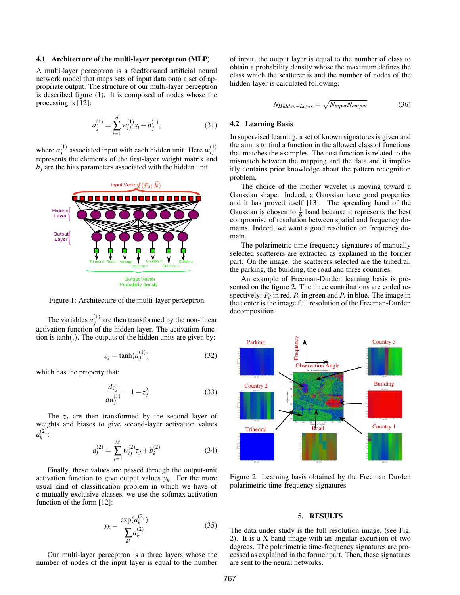#### 4.1 Architecture of the multi-layer perceptron (MLP)

A multi-layer perceptron is a feedforward artificial neural network model that maps sets of input data onto a set of appropriate output. The structure of our multi-layer perceptron is described figure (1). It is composed of nodes whose the processing is [12]:

$$
a_j^{(1)} = \sum_{i=1}^d w_{ij}^{(1)} x_i + b_j^{(1)},
$$
\n(31)

where  $a_i^{(1)}$  $g_j^{(1)}$  associated input with each hidden unit. Here  $w_{ij}^{(1)}$ *i j* represents the elements of the first-layer weight matrix and  $b_i$  are the bias parameters associated with the hidden unit.



Figure 1: Architecture of the multi-layer perceptron

The variables  $a_i^{(1)}$  $j_j^{(1)}$  are then transformed by the non-linear activation function of the hidden layer. The activation function is tanh(.). The outputs of the hidden units are given by:

$$
z_j = \tanh(a_j^{(1)})\tag{32}
$$

which has the property that:

$$
\frac{dz_j}{da_j^{(1)}} = 1 - z_j^2
$$
 (33)

The  $z_j$  are then transformed by the second layer of weights and biases to give second-layer activation values  $a_k^{(2)}$ *k* :

$$
a_k^{(2)} = \sum_{j=1}^{M} w_{ij}^{(2)} z_j + b_k^{(2)}
$$
 (34)

Finally, these values are passed through the output-unit activation function to give output values  $y_k$ . For the more usual kind of classification problem in which we have of c mutually exclusive classes, we use the softmax activation function of the form [12]:

$$
y_k = \frac{\exp(a_k^{(2)})}{\sum_{k'} a_{k'}^{(2)}}\tag{35}
$$

Our multi-layer perceptron is a three layers whose the number of nodes of the input layer is equal to the number of input, the output layer is equal to the number of class to obtain a probability density whose the maximum defines the class which the scatterer is and the number of nodes of the hidden-layer is calculated following:

$$
N_{Hidden-Layer} = \sqrt{N_{input} N_{output}} \tag{36}
$$

## 4.2 Learning Basis

In supervised learning, a set of known signatures is given and the aim is to find a function in the allowed class of functions that matches the examples. The cost function is related to the mismatch between the mapping and the data and it implicitly contains prior knowledge about the pattern recognition problem.

The choice of the mother wavelet is moving toward a Gaussian shape. Indeed, a Gaussian have good properties and it has proved itself [13]. The spreading band of the Gaussian is chosen to  $\frac{1}{6}$  band because it represents the best compromise of resolution between spatial and frequency domains. Indeed, we want a good resolution on frequency domain.

The polarimetric time-frequency signatures of manually selected scatterers are extracted as explained in the former part. On the image, the scatterers selected are the trihedral, the parking, the building, the road and three countries.

An example of Freeman-Durden learning basis is presented on the figure 2. The three contributions are coded respectively:  $P_d$  in red,  $P_v$  in green and  $P_s$  in blue. The image in the center is the image full resolution of the Freeman-Durden decomposition.



Figure 2: Learning basis obtained by the Freeman Durden polarimetric time-frequency signatures

# 5. RESULTS

The data under study is the full resolution image, (see Fig. 2). It is a X band image with an angular excursion of two degrees. The polarimetric time-frequency signatures are processed as explained in the former part. Then, these signatures are sent to the neural networks.